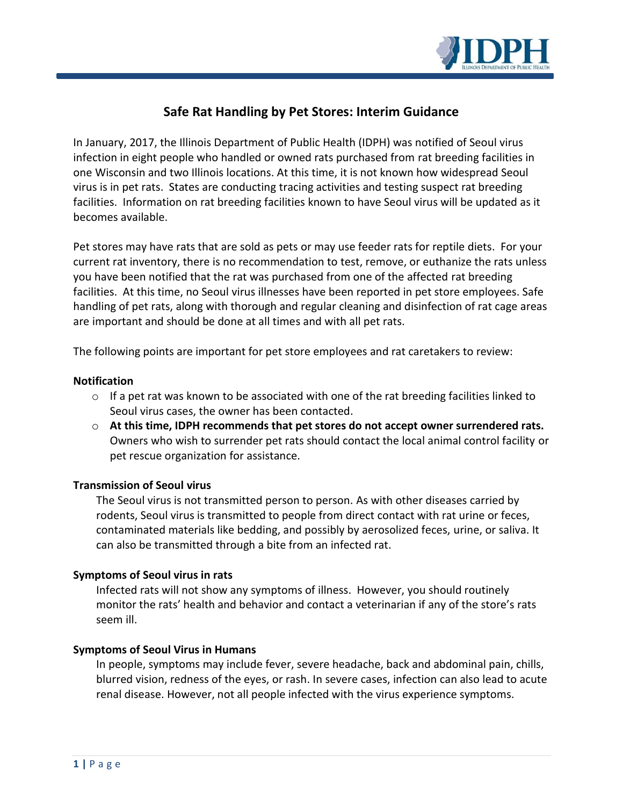

# **Safe Rat Handling by Pet Stores: Interim Guidance**

In January, 2017, the Illinois Department of Public Health (IDPH) was notified of Seoul virus infection in eight people who handled or owned rats purchased from rat breeding facilities in one Wisconsin and two Illinois locations. At this time, it is not known how widespread Seoul virus is in pet rats. States are conducting tracing activities and testing suspect rat breeding facilities. Information on rat breeding facilities known to have Seoul virus will be updated as it becomes available.

Pet stores may have rats that are sold as pets or may use feeder rats for reptile diets. For your current rat inventory, there is no recommendation to test, remove, or euthanize the rats unless you have been notified that the rat was purchased from one of the affected rat breeding facilities. At this time, no Seoul virus illnesses have been reported in pet store employees. Safe handling of pet rats, along with thorough and regular cleaning and disinfection of rat cage areas are important and should be done at all times and with all pet rats.

The following points are important for pet store employees and rat caretakers to review:

### **Notification**

- $\circ$  If a pet rat was known to be associated with one of the rat breeding facilities linked to Seoul virus cases, the owner has been contacted.
- o **At this time, IDPH recommends that pet stores do not accept owner surrendered rats.**  Owners who wish to surrender pet rats should contact the local animal control facility or pet rescue organization for assistance.

## **Transmission of Seoul virus**

The Seoul virus is not transmitted person to person. As with other diseases carried by rodents, Seoul virus is transmitted to people from direct contact with rat urine or feces, contaminated materials like bedding, and possibly by aerosolized feces, urine, or saliva. It can also be transmitted through a bite from an infected rat.

## **Symptoms of Seoul virus in rats**

Infected rats will not show any symptoms of illness. However, you should routinely monitor the rats' health and behavior and contact a veterinarian if any of the store's rats seem ill.

## **Symptoms of Seoul Virus in Humans**

In people, symptoms may include fever, severe headache, back and abdominal pain, chills, blurred vision, redness of the eyes, or rash. In severe cases, infection can also lead to acute renal disease. However, not all people infected with the virus experience symptoms.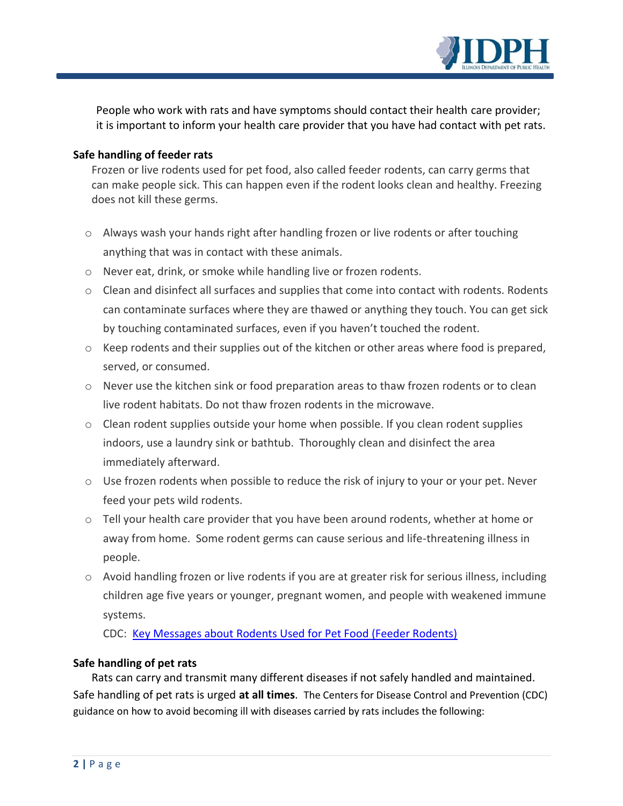

People who work with rats and have symptoms should contact their health care provider; it is important to inform your health care provider that you have had contact with pet rats.

## **Safe handling of feeder rats**

Frozen or live rodents used for pet food, also called feeder rodents, can carry germs that can make people sick. This can happen even if the rodent looks clean and healthy. Freezing does not kill these germs.

- $\circ$  Always wash your hands right after handling frozen or live rodents or after touching anything that was in contact with these animals.
- o Never eat, drink, or smoke while handling live or frozen rodents.
- o Clean and disinfect all surfaces and supplies that come into contact with rodents. Rodents can contaminate surfaces where they are thawed or anything they touch. You can get sick by touching contaminated surfaces, even if you haven't touched the rodent.
- $\circ$  Keep rodents and their supplies out of the kitchen or other areas where food is prepared, served, or consumed.
- o Never use the kitchen sink or food preparation areas to thaw frozen rodents or to clean live rodent habitats. Do not thaw frozen rodents in the microwave.
- $\circ$  Clean rodent supplies outside your home when possible. If you clean rodent supplies indoors, use a laundry sink or bathtub. Thoroughly clean and disinfect the area immediately afterward.
- o Use frozen rodents when possible to reduce the risk of injury to your or your pet. Never feed your pets wild rodents.
- o Tell your health care provider that you have been around rodents, whether at home or away from home. Some rodent germs can cause serious and life-threatening illness in people.
- $\circ$  Avoid handling frozen or live rodents if you are at greater risk for serious illness, including children age five years or younger, pregnant women, and people with weakened immune systems.

CDC: [Key Messages about Rodents Used for Pet Food \(Feeder Rodents\)](https://www.cdc.gov/healthypets/pets/reptiles/feeder-rodents.html)

## **Safe handling of pet rats**

Rats can carry and transmit many different diseases if not safely handled and maintained. Safe handling of pet rats is urged **at all times**. The Centers for Disease Control and Prevention (CDC) guidance on how to avoid becoming ill with diseases carried by rats includes the following: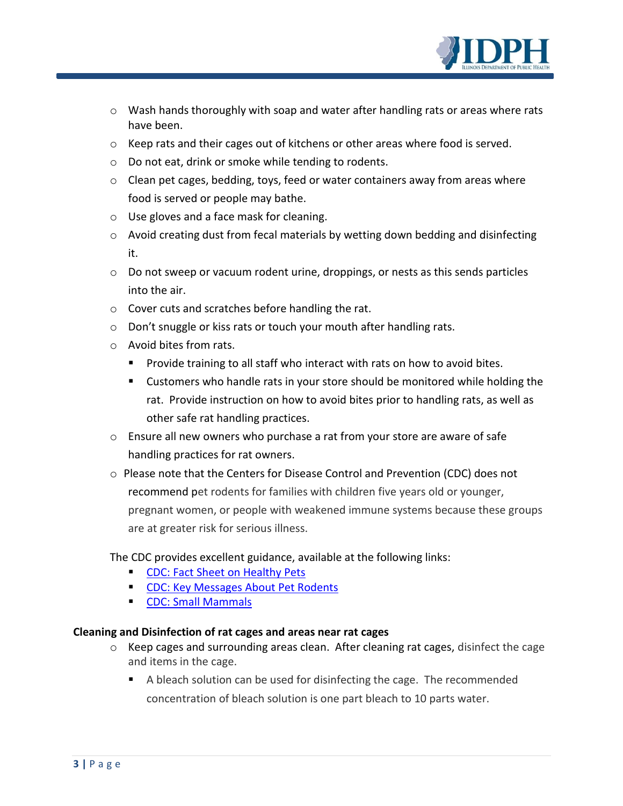

- $\circ$  Wash hands thoroughly with soap and water after handling rats or areas where rats have been.
- o Keep rats and their cages out of kitchens or other areas where food is served.
- o Do not eat, drink or smoke while tending to rodents.
- o Clean pet cages, bedding, toys, feed or water containers away from areas where food is served or people may bathe.
- o Use gloves and a face mask for cleaning.
- o Avoid creating dust from fecal materials by wetting down bedding and disinfecting it.
- $\circ$  Do not sweep or vacuum rodent urine, droppings, or nests as this sends particles into the air.
- o Cover cuts and scratches before handling the rat.
- o Don't snuggle or kiss rats or touch your mouth after handling rats.
- o Avoid bites from rats.
	- **Provide training to all staff who interact with rats on how to avoid bites.**
	- Customers who handle rats in your store should be monitored while holding the rat. Provide instruction on how to avoid bites prior to handling rats, as well as other safe rat handling practices.
- o Ensure all new owners who purchase a rat from your store are aware of safe handling practices for rat owners.
- o Please note that the Centers for Disease Control and Prevention (CDC) does not recommend pet rodents for families with children five years old or younger, pregnant women, or people with weakened immune systems because these groups are at greater risk for serious illness.

The CDC provides excellent guidance, available at the following links:

- **[CDC: Fact Sheet on Healthy Pets](https://www.cdc.gov/healthypets/resources/pet-rodents-8x11-508.pdf)**
- **[CDC: Key Messages About Pet Rodents](https://www.cdc.gov/healthypets/pets/small-mammals/petrodents.html)**
- **[CDC: Small Mammals](https://www.cdc.gov/healthypets/pets/small-mammals/)**

## **Cleaning and Disinfection of rat cages and areas near rat cages**

- o Keep cages and surrounding areas clean. After cleaning rat cages, disinfect the cage and items in the cage.
	- A bleach solution can be used for disinfecting the cage. The recommended concentration of bleach solution is one part bleach to 10 parts water.